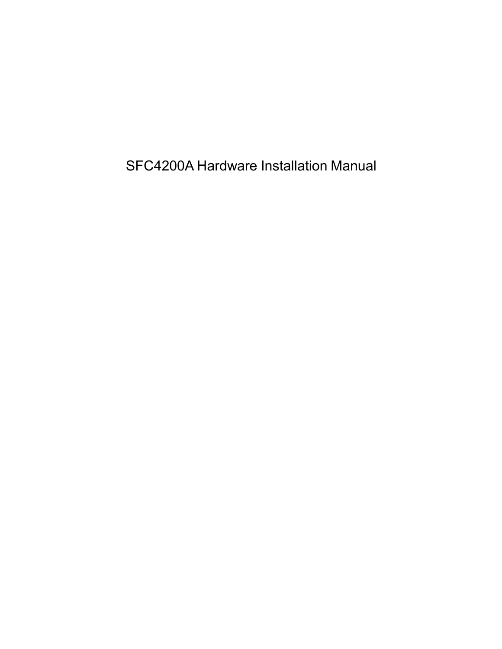SFC4200A Hardware Installation Manual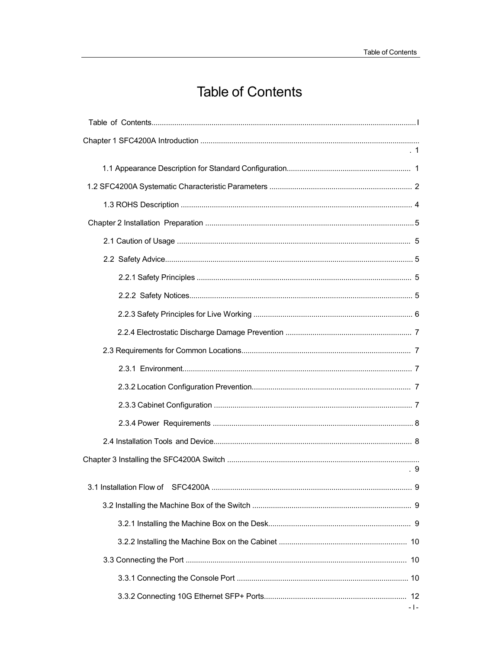# **Table of Contents**

| .9      |
|---------|
|         |
|         |
|         |
|         |
|         |
|         |
| - 1 - 1 |
|         |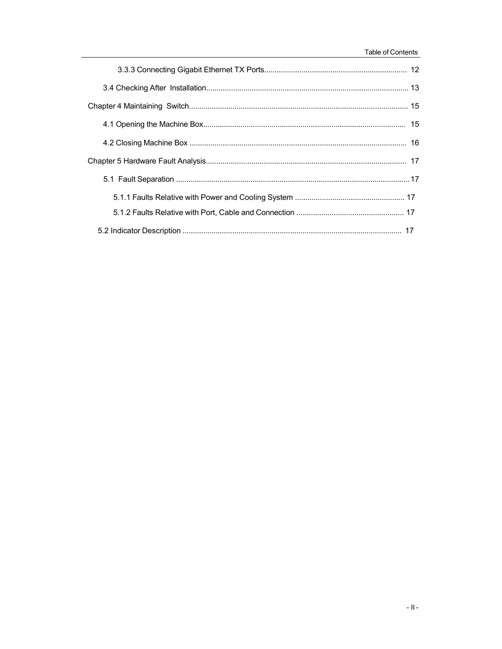#### Table of Contents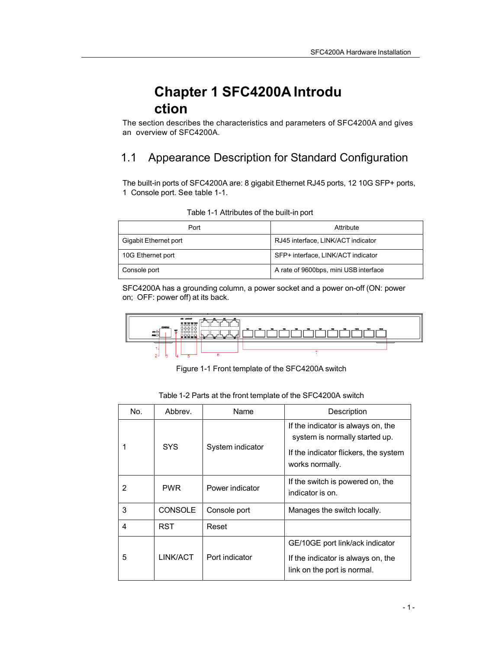## **Chapter 1 SFC4200A Introdu ction**

The section describes the characteristics and parameters of SFC4200A and gives an overview of SFC4200A.

### 1.1 Appearance Description for Standard Configuration

The built-in ports of SFC4200A are: 8 gigabit Ethernet RJ45 ports, 12 10G SFP+ ports, 1 Console port. See table 1-1.

| Port                  | Attribute                             |
|-----------------------|---------------------------------------|
| Gigabit Ethernet port | RJ45 interface, LINK/ACT indicator    |
| 10G Ethernet port     | SFP+ interface, LINK/ACT indicator    |
| Console port          | A rate of 9600bps, mini USB interface |

Table 1-1 Attributes of the built-in port

SFC4200A has a grounding column, a power socket and a power on-off (ON: power on; OFF: power off) at its back.



Figure 1-1 Front template of the SFC4200A switch

| Table 1-2 Parts at the front template of the SFC4200A switch |  |  |
|--------------------------------------------------------------|--|--|
|--------------------------------------------------------------|--|--|

| No. | Abbrev.        | Name             | Description                                                                                                                      |
|-----|----------------|------------------|----------------------------------------------------------------------------------------------------------------------------------|
|     | <b>SYS</b>     | System indicator | If the indicator is always on, the<br>system is normally started up.<br>If the indicator flickers, the system<br>works normally. |
| 2   | <b>PWR</b>     | Power indicator  | If the switch is powered on, the<br>indicator is on.                                                                             |
| 3   | <b>CONSOLE</b> | Console port     | Manages the switch locally.                                                                                                      |
| 4   | <b>RST</b>     | Reset            |                                                                                                                                  |
| 5   | LINK/ACT       | Port indicator   | GE/10GE port link/ack indicator<br>If the indicator is always on, the<br>link on the port is normal.                             |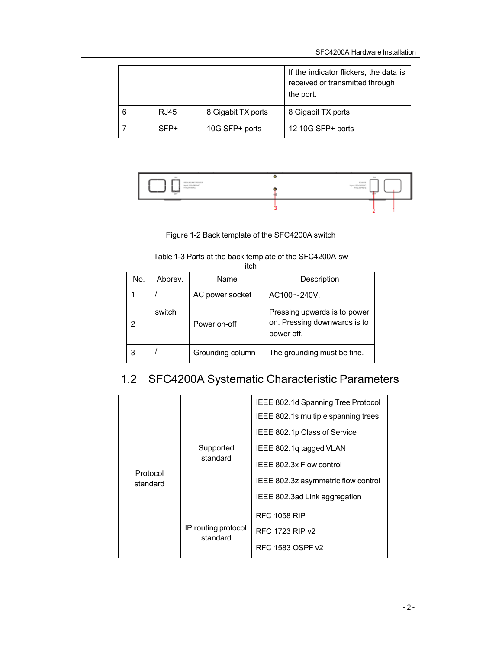|      |                    | If the indicator flickers, the data is<br>received or transmitted through<br>the port. |
|------|--------------------|----------------------------------------------------------------------------------------|
| RJ45 | 8 Gigabit TX ports | 8 Gigabit TX ports                                                                     |
| SFP+ | 10G SFP+ ports     | 12 10G SFP+ ports                                                                      |



Figure 1-2 Back template of the SFC4200A switch

#### Table 1-3 Parts at the back template of the SFC4200A sw itch

| No. | Abbrev. | Name             | Description                                                                |  |  |  |
|-----|---------|------------------|----------------------------------------------------------------------------|--|--|--|
|     |         | AC power socket  | $AC100 \sim 240V$ .                                                        |  |  |  |
| 2   | switch  | Power on-off     | Pressing upwards is to power<br>on. Pressing downwards is to<br>power off. |  |  |  |
| 3   |         | Grounding column | The grounding must be fine.                                                |  |  |  |

## 1.2 SFC4200A Systematic Characteristic Parameters

|                      | Supported<br>standard           | IEEE 802.1d Spanning Tree Protocol  |
|----------------------|---------------------------------|-------------------------------------|
|                      |                                 | IEEE 802.1s multiple spanning trees |
|                      |                                 | IEEE 802.1p Class of Service        |
|                      |                                 | IEEE 802.1q tagged VLAN             |
| Protocol<br>standard |                                 | IEEE 802.3x Flow control            |
|                      |                                 | IEEE 802.3z asymmetric flow control |
|                      |                                 | IEEE 802.3ad Link aggregation       |
|                      | IP routing protocol<br>standard | <b>RFC 1058 RIP</b>                 |
|                      |                                 | RFC 1723 RIP v2                     |
|                      |                                 | RFC 1583 OSPF v2                    |
|                      |                                 |                                     |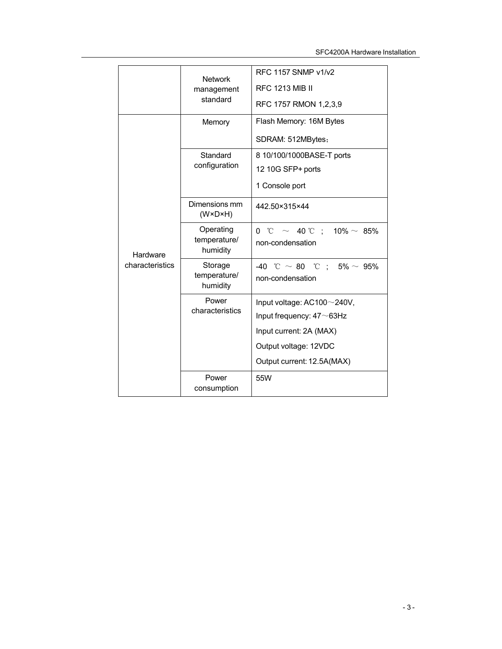|                             | <b>Network</b>                           | RFC 1157 SNMP v1/v2                 |
|-----------------------------|------------------------------------------|-------------------------------------|
|                             | management                               | <b>RFC 1213 MIB II</b>              |
|                             | standard                                 | RFC 1757 RMON 1,2,3,9               |
|                             | Memory                                   | Flash Memory: 16M Bytes             |
|                             |                                          | SDRAM: 512MBytes;                   |
|                             | Standard                                 | 8 10/100/1000BASE-T ports           |
|                             | configuration                            | 12 10G SFP+ ports                   |
|                             |                                          | 1 Console port                      |
|                             | Dimensions mm<br>$(W \times D \times H)$ | 442.50×315×44                       |
|                             | Operating                                | 0 °C $\sim$ 40 °C : 10% $\sim$ 85%  |
| Hardware<br>characteristics | temperature/<br>humidity                 | non-condensation                    |
|                             | Storage                                  | -40 °C $\sim$ 80 °C : 5% $\sim$ 95% |
|                             | temperature/<br>humidity                 | non-condensation                    |
|                             | Power                                    | Input voltage: AC100~240V,          |
|                             | characteristics                          | Input frequency: $47 \sim 63$ Hz    |
|                             |                                          | Input current: 2A (MAX)             |
|                             |                                          | Output voltage: 12VDC               |
|                             |                                          | Output current: 12.5A(MAX)          |
|                             | Power<br>consumption                     | 55W                                 |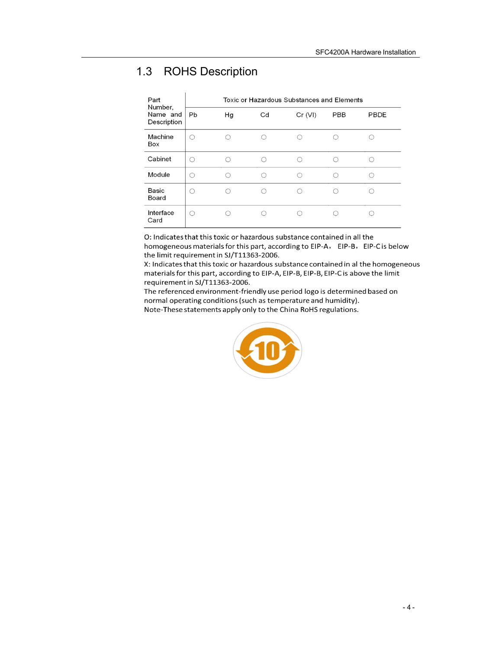## 1.3 ROHS Description

| Part<br>Number,         | Toxic or Hazardous Substances and Elements |    |    |         |     |      |
|-------------------------|--------------------------------------------|----|----|---------|-----|------|
| Name and<br>Description | Pb                                         | Hg | Cd | Cr (VI) | PBB | PBDE |
| Machine<br>Box          |                                            |    |    |         |     |      |
| Cabinet                 | ∩                                          |    | C  |         |     |      |
| Module                  | ∩                                          |    | ∩  |         |     |      |
| Basic<br>Board          | 0                                          |    |    |         |     |      |
| Interface<br>Card       | ∩                                          |    |    |         |     |      |

O: Indicates that this toxic or hazardous substance contained in all the homogeneous materials for this part, according to EIP-A, EIP-B, EIP-C is below the limit requirement in SJ/T11363-2006.

X: Indicates that this toxic or hazardous substance contained in al the homogeneous materials for this part, according to EIP-A, EIP-B, EIP-B, EIP-C is above the limit requirement in SJ/T11363-2006.

The referenced environment-friendly use period logo is determined based on normal operating conditions (such as temperature and humidity). Note-These statements apply only to the China RoHS regulations.

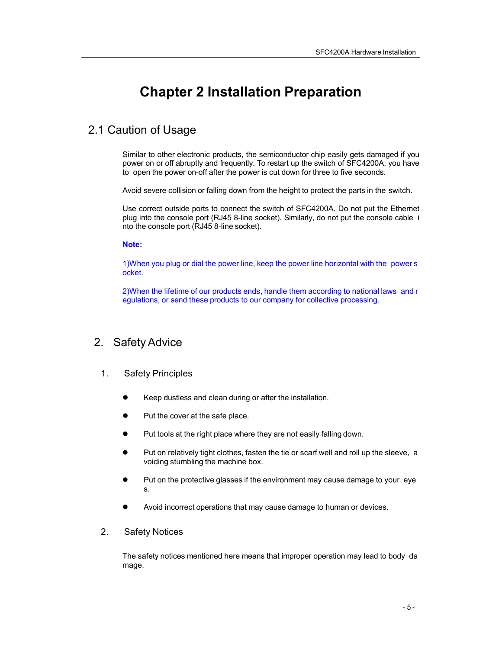## **Chapter 2 Installation Preparation**

### 2.1 Caution of Usage

Similar to other electronic products, the semiconductor chip easily gets damaged if you power on or off abruptly and frequently. To restart up the switch of SFC4200A, you have to open the power on-off after the power is cut down for three to five seconds.

Avoid severe collision or falling down from the height to protect the parts in the switch.

Use correct outside ports to connect the switch of SFC4200A. Do not put the Ethernet plug into the console port (RJ45 8-line socket). Similarly, do not put the console cable i nto the console port (RJ45 8-line socket).

**Note:**

1)When you plug or dial the power line, keep the power line horizontal with the power s ocket.

2)When the lifetime of our products ends, handle them according to national laws and r egulations, or send these products to our company for collective processing.

### 2. SafetyAdvice

### 1. Safety Principles

- Keep dustless and clean during or after the installation.
- Put the cover at the safe place.
- Put tools at the right place where they are not easily falling down.
- Put on relatively tight clothes, fasten the tie or scarf well and roll up the sleeve, a voiding stumbling the machine box.
- Put on the protective glasses if the environment may cause damage to your eye s.
- Avoid incorrect operations that may cause damage to human or devices.

### 2. Safety Notices

The safety notices mentioned here means that improper operation may lead to body da mage.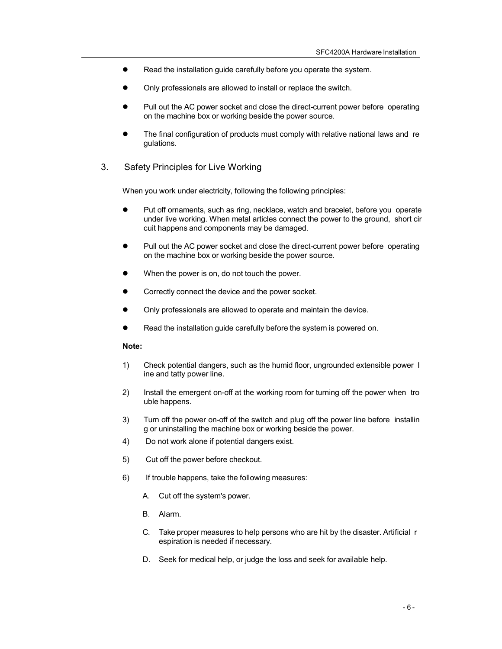- Read the installation guide carefully before you operate the system.
- Only professionals are allowed to install or replace the switch.
- Pull out the AC power socket and close the direct-current power before operating on the machine box or working beside the power source.
- The final configuration of products must comply with relative national laws and re gulations.
- 3. Safety Principles for Live Working

When you work under electricity, following the following principles:

- Put off ornaments, such as ring, necklace, watch and bracelet, before you operate under live working. When metal articles connect the power to the ground, short cir cuit happens and components may be damaged.
- Pull out the AC power socket and close the direct-current power before operating on the machine box or working beside the power source.
- When the power is on, do not touch the power.
- Correctly connect the device and the power socket.
- Only professionals are allowed to operate and maintain the device.
- Read the installation guide carefully before the system is powered on.

#### **Note:**

- 1) Check potential dangers, such as the humid floor, ungrounded extensible power l ine and tatty power line.
- 2) Install the emergent on-off at the working room for turning off the power when tro uble happens.
- 3) Turn off the power on-off of the switch and plug off the power line before installin g or uninstalling the machine box or working beside the power.
- 4) Do not work alone if potential dangers exist.
- 5) Cut off the power before checkout.
- 6) If trouble happens, take the following measures:
	- A. Cut off the system's power.
	- B. Alarm.
	- C. Take proper measures to help persons who are hit by the disaster. Artificial r espiration is needed if necessary.
	- D. Seek for medical help, or judge the loss and seek for available help.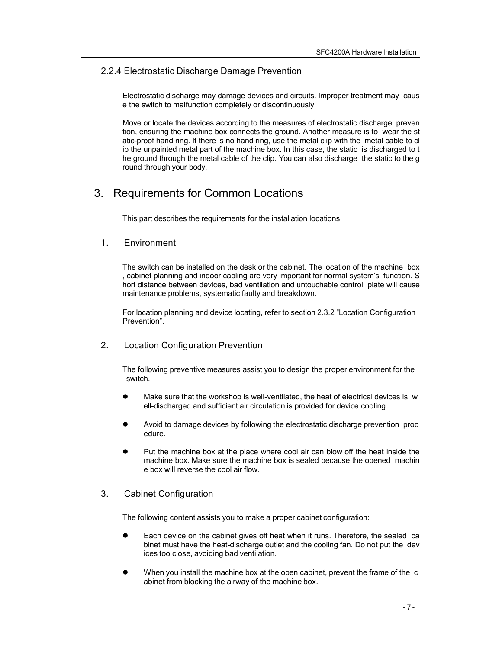### 2.2.4 Electrostatic Discharge Damage Prevention

Electrostatic discharge may damage devices and circuits. Improper treatment may caus e the switch to malfunction completely or discontinuously.

Move or locate the devices according to the measures of electrostatic discharge preven tion, ensuring the machine box connects the ground. Another measure is to wear the st atic-proof hand ring. If there is no hand ring, use the metal clip with the metal cable to cl ip the unpainted metal part of the machine box. In this case, the static is discharged to t he ground through the metal cable of the clip. You can also discharge the static to the g round through your body.

### 3. Requirements for Common Locations

This part describes the requirements for the installation locations.

### 1. Environment

The switch can be installed on the desk or the cabinet. The location of the machine box , cabinet planning and indoor cabling are very important for normal system's function. S hort distance between devices, bad ventilation and untouchable control plate will cause maintenance problems, systematic faulty and breakdown.

For location planning and device locating, refer to section 2.3.2 "Location Configuration Prevention".

#### 2. Location Configuration Prevention

The following preventive measures assist you to design the proper environment for the switch.

- Make sure that the workshop is well-ventilated, the heat of electrical devices is w ell-discharged and sufficient air circulation is provided for device cooling.
- Avoid to damage devices by following the electrostatic discharge prevention proc edure.
- Put the machine box at the place where cool air can blow off the heat inside the machine box. Make sure the machine box is sealed because the opened machin e box will reverse the cool air flow.

### 3. Cabinet Configuration

The following content assists you to make a proper cabinet configuration:

- Each device on the cabinet gives off heat when it runs. Therefore, the sealed ca binet must have the heat-discharge outlet and the cooling fan. Do not put the dev ices too close, avoiding bad ventilation.
- When you install the machine box at the open cabinet, prevent the frame of the c abinet from blocking the airway of the machine box.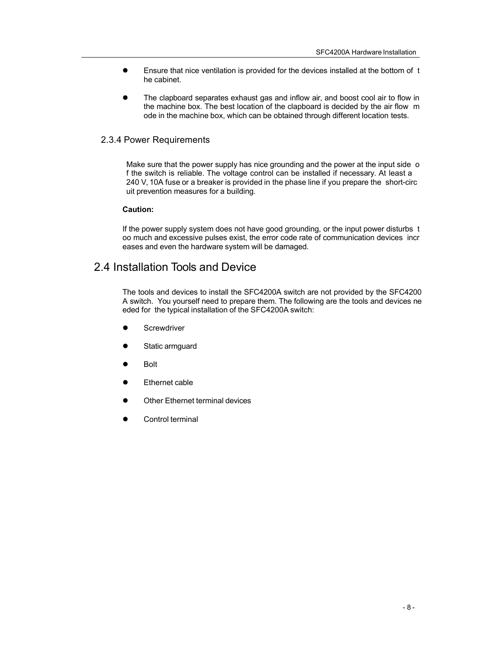- Ensure that nice ventilation is provided for the devices installed at the bottom of t he cabinet.
- The clapboard separates exhaust gas and inflow air, and boost cool air to flow in the machine box. The best location of the clapboard is decided by the air flow m ode in the machine box, which can be obtained through different location tests.

### 2.3.4 Power Requirements

Make sure that the power supply has nice grounding and the power at the input side o f the switch is reliable. The voltage control can be installed if necessary. At least a 240 V, 10A fuse or a breaker is provided in the phase line if you prepare the short-circ uit prevention measures for a building.

#### **Caution:**

If the power supply system does not have good grounding, or the input power disturbs t oo much and excessive pulses exist, the error code rate of communication devices incr eases and even the hardware system will be damaged.

### 2.4 Installation Tools and Device

The tools and devices to install the SFC4200A switch are not provided by the SFC4200 A switch. You yourself need to prepare them. The following are the tools and devices ne eded for the typical installation of the SFC4200A switch:

- **Screwdriver**
- Static armguard
- Bolt
- Ethernet cable
- Other Ethernet terminal devices
- Control terminal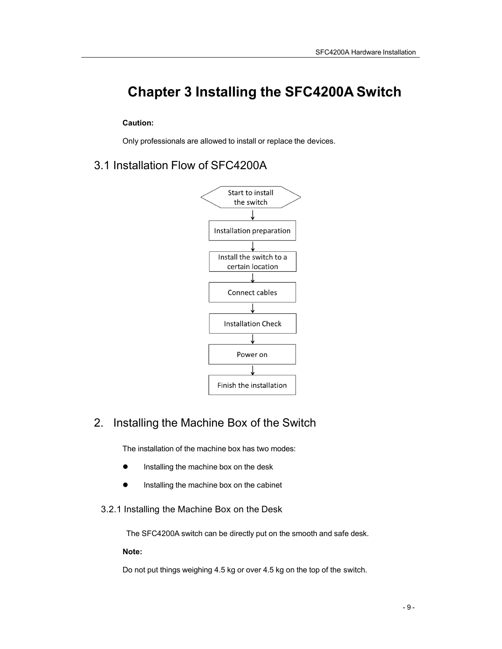# **Chapter 3 Installing the SFC4200A Switch**

### **Caution:**

Only professionals are allowed to install or replace the devices.

### 3.1 Installation Flow of SFC4200A



### 2. Installing the Machine Box of the Switch

The installation of the machine box has two modes:

- **•** Installing the machine box on the desk
- **•** Installing the machine box on the cabinet
- 3.2.1 Installing the Machine Box on the Desk

The SFC4200A switch can be directly put on the smooth and safe desk.

#### **Note:**

Do not put things weighing 4.5 kg or over 4.5 kg on the top of the switch.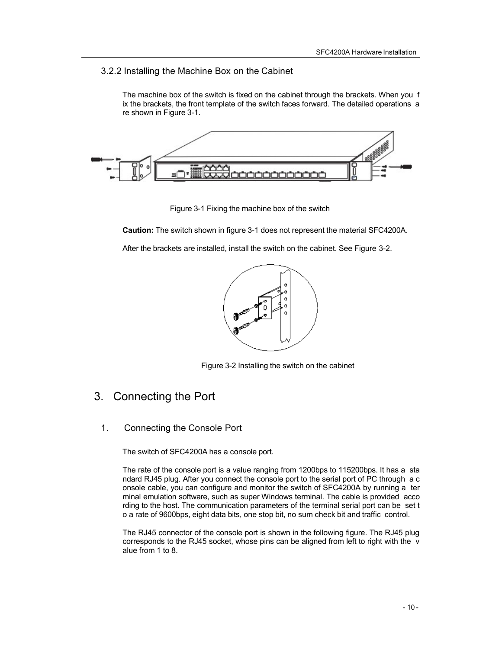### 3.2.2 Installing the Machine Box on the Cabinet

The machine box of the switch is fixed on the cabinet through the brackets. When you f ix the brackets, the front template of the switch faces forward. The detailed operations a re shown in Figure 3-1.



Figure 3-1 Fixing the machine box of the switch

**Caution:** The switch shown in figure 3-1 does not represent the material SFC4200A.

After the brackets are installed, install the switch on the cabinet. See Figure 3-2.



Figure 3-2 Installing the switch on the cabinet

### 3. Connecting the Port

1. Connecting the Console Port

The switch of SFC4200A has a console port.

The rate of the console port is a value ranging from 1200bps to 115200bps. It has a sta ndard RJ45 plug. After you connect the console port to the serial port of PC through a c onsole cable, you can configure and monitor the switch of SFC4200A by running a ter minal emulation software, such as super Windows terminal. The cable is provided acco rding to the host. The communication parameters of the terminal serial port can be set t o a rate of 9600bps, eight data bits, one stop bit, no sum check bit and traffic control.

The RJ45 connector of the console port is shown in the following figure. The RJ45 plug corresponds to the RJ45 socket, whose pins can be aligned from left to right with the v alue from 1 to 8.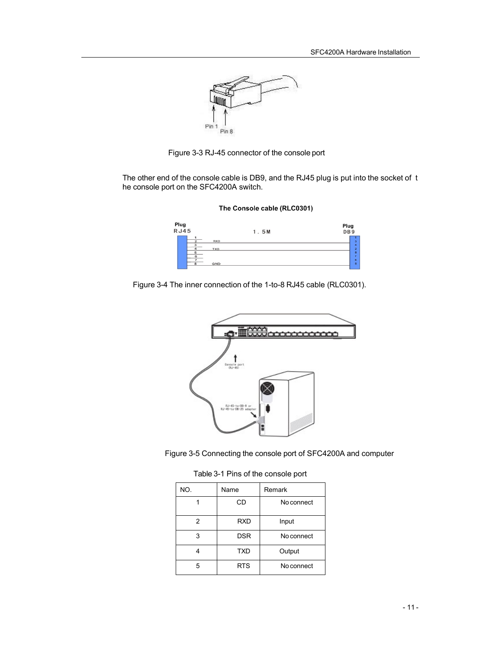

Figure 3-3 RJ-45 connector of the console port

The other end of the console cable is DB9, and the RJ45 plug is put into the socket of t he console port on the SFC4200A switch.



The Console cable (RLC0301)

Figure 3-4 The inner connection of the 1-to-8 RJ45 cable (RLC0301).





Table 3-1 Pins of the console port

| NO. | Name       | Remark     |
|-----|------------|------------|
|     | CD         | No connect |
| 2   | <b>RXD</b> | Input      |
| 3   | <b>DSR</b> | No connect |
|     | <b>TXD</b> | Output     |
| 5   | <b>RTS</b> | No connect |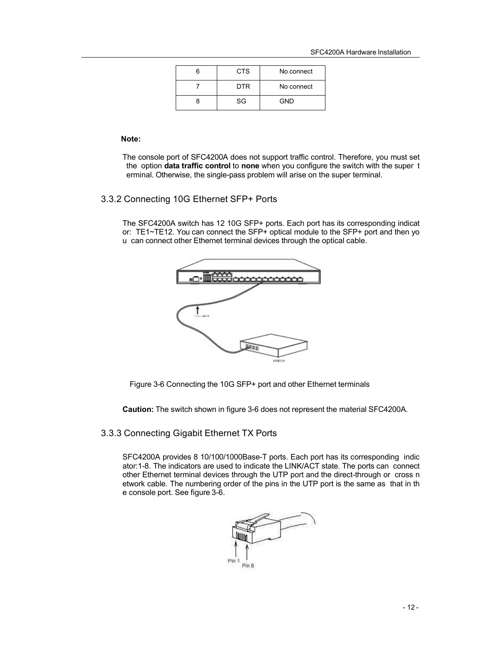| <b>CTS</b> | No connect |
|------------|------------|
| <b>DTR</b> | No connect |
| SG         | <b>GND</b> |

#### **Note:**

The console port of SFC4200A does not support traffic control. Therefore, you must set the option **data traffic control** to **none** when you configure the switch with the super t erminal. Otherwise, the single-pass problem will arise on the super terminal.

### 3.3.2 Connecting 10G Ethernet SFP+ Ports

The SFC4200A switch has 12 10G SFP+ ports. Each port has its corresponding indicat or: TE1~TE12. You can connect the SFP+ optical module to the SFP+ port and then yo u can connect other Ethernet terminal devices through the optical cable.



Figure 3-6 Connecting the 10G SFP+ port and other Ethernet terminals

**Caution:** The switch shown in figure 3-6 does not represent the material SFC4200A.

### 3.3.3 Connecting Gigabit Ethernet TX Ports

SFC4200A provides 8 10/100/1000Base-T ports. Each port has its corresponding indic ator:1-8. The indicators are used to indicate the LINK/ACT state. The ports can connect other Ethernet terminal devices through the UTP port and the direct-through or cross n etwork cable. The numbering order of the pins in the UTP port is the same as that in th e console port. See figure 3-6.

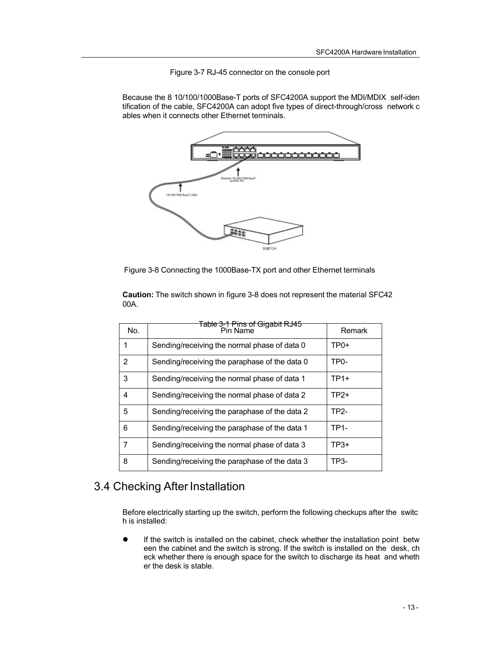Figure 3-7 RJ-45 connector on the console port

Because the 8 10/100/1000Base-T ports of SFC4200A support the MDI/MDIX self-iden tification of the cable, SFC4200A can adopt five types of direct-through/cross network c ables when it connects other Ethernet terminals.



Figure 3-8 Connecting the 1000Base-TX port and other Ethernet terminals

**Caution:** The switch shown in figure 3-8 does not represent the material SFC42 00A.

| No.            | Table 3-1 Pins of Gigabit RJ45<br>Pin Name    | Remark            |
|----------------|-----------------------------------------------|-------------------|
| 1              | Sending/receiving the normal phase of data 0  | $TP0+$            |
| $\overline{2}$ | Sending/receiving the paraphase of the data 0 | TP <sub>0</sub> - |
| 3              | Sending/receiving the normal phase of data 1  | $TP1+$            |
| 4              | Sending/receiving the normal phase of data 2  | $TP2+$            |
| 5              | Sending/receiving the paraphase of the data 2 | TP2-              |
| 6              | Sending/receiving the paraphase of the data 1 | TP1-              |
| 7              | Sending/receiving the normal phase of data 3  | $TP3+$            |
| 8              | Sending/receiving the paraphase of the data 3 | TP3-              |

### 3.4 Checking After Installation

Before electrically starting up the switch, perform the following checkups after the switc h is installed:

 If the switch is installed on the cabinet, check whether the installation point betw een the cabinet and the switch is strong. If the switch is installed on the desk, ch eck whether there is enough space for the switch to discharge its heat and wheth er the desk is stable.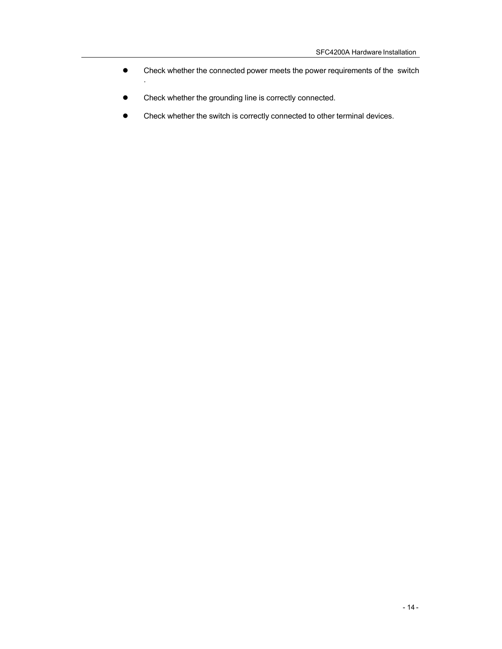- Check whether the connected power meets the power requirements of the switch
- Check whether the grounding line is correctly connected.

.

Check whether the switch is correctly connected to other terminal devices.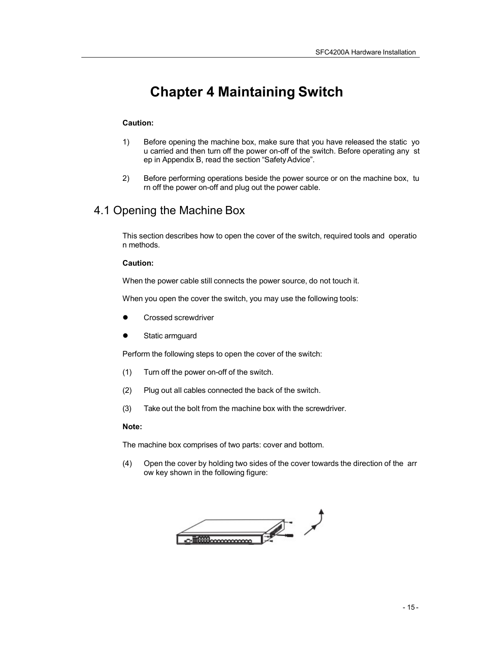# **Chapter 4 Maintaining Switch**

### **Caution:**

- 1) Before opening the machine box, make sure that you have released the static yo u carried and then turn off the power on-off of the switch. Before operating any st ep in Appendix B, read the section "SafetyAdvice".
- 2) Before performing operations beside the power source or on the machine box, tu rn off the power on-off and plug out the power cable.

### 4.1 Opening the Machine Box

This section describes how to open the cover of the switch, required tools and operatio n methods.

### **Caution:**

When the power cable still connects the power source, do not touch it.

When you open the cover the switch, you may use the following tools:

- Crossed screwdriver
- Static armguard

Perform the following steps to open the cover of the switch:

- (1) Turn off the power on-off of the switch.
- (2) Plug out all cables connected the back of the switch.
- (3) Take out the bolt from the machine box with the screwdriver.

#### **Note:**

The machine box comprises of two parts: cover and bottom.

(4) Open the cover by holding two sides of the cover towards the direction of the arr ow key shown in the following figure:

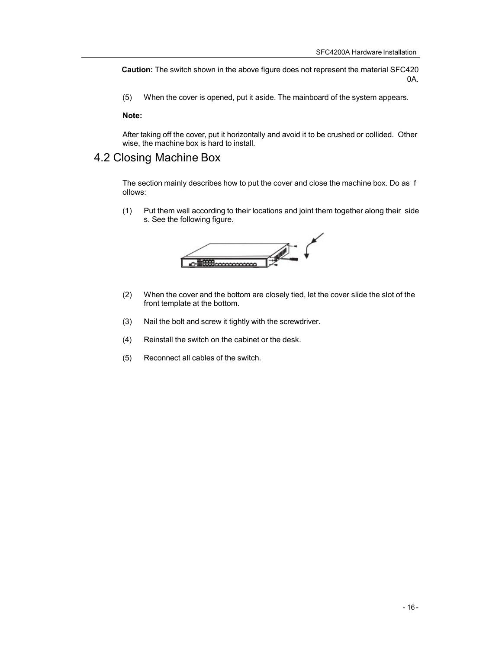**Caution:** The switch shown in the above figure does not represent the material SFC420 0A.

(5) When the cover is opened, put it aside. The mainboard of the system appears.

**Note:**

After taking off the cover, put it horizontally and avoid it to be crushed or collided. Other wise, the machine box is hard to install.

### 4.2 Closing Machine Box

The section mainly describes how to put the cover and close the machine box. Do as f ollows:

(1) Put them well according to their locations and joint them together along their side s. See the following figure.



- (2) When the cover and the bottom are closely tied, let the cover slide the slot of the front template at the bottom.
- (3) Nail the bolt and screw it tightly with the screwdriver.
- (4) Reinstall the switch on the cabinet or the desk.
- (5) Reconnect all cables of the switch.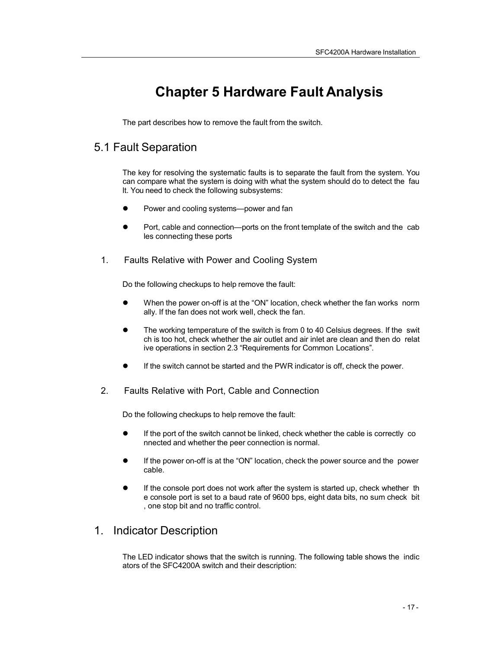# **Chapter 5 Hardware Fault Analysis**

The part describes how to remove the fault from the switch.

### 5.1 Fault Separation

The key for resolving the systematic faults is to separate the fault from the system. You can compare what the system is doing with what the system should do to detect the fau lt. You need to check the following subsystems:

- Power and cooling systems—power and fan
- Port, cable and connection—ports on the front template of the switch and the cab les connecting these ports
- 1. Faults Relative with Power and Cooling System

Do the following checkups to help remove the fault:

- When the power on-off is at the "ON" location, check whether the fan works norm ally. If the fan does not work well, check the fan.
- The working temperature of the switch is from 0 to 40 Celsius degrees. If the swit ch is too hot, check whether the air outlet and air inlet are clean and then do relat ive operations in section 2.3 "Requirements for Common Locations".
- If the switch cannot be started and the PWR indicator is off, check the power.
- 2. Faults Relative with Port, Cable and Connection

Do the following checkups to help remove the fault:

- If the port of the switch cannot be linked, check whether the cable is correctly co nnected and whether the peer connection is normal.
- If the power on-off is at the "ON" location, check the power source and the power cable.
- If the console port does not work after the system is started up, check whether th e console port is set to a baud rate of 9600 bps, eight data bits, no sum check bit , one stop bit and no traffic control.

### 1. Indicator Description

The LED indicator shows that the switch is running. The following table shows the indic ators of the SFC4200A switch and their description: